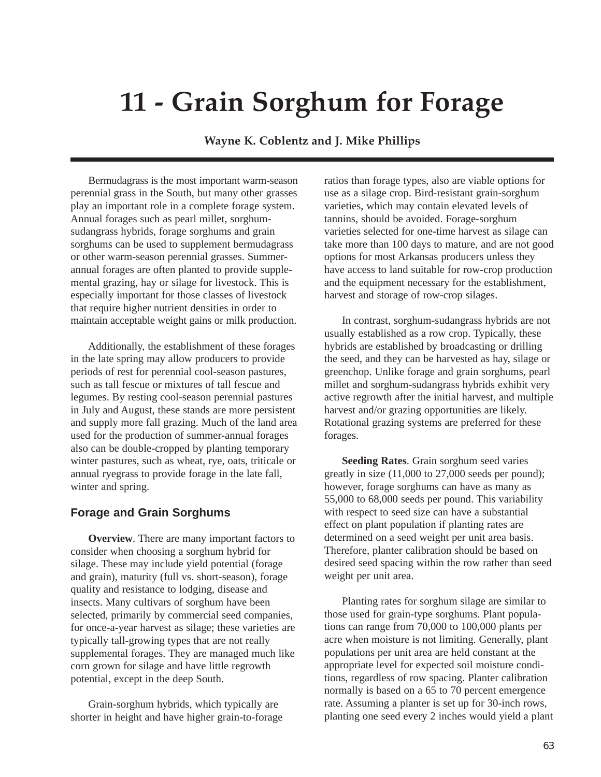# **11 - Grain Sorghum for Forage**

#### **Wayne K. Coblentz and J. Mike Phillips**

Bermudagrass is the most important warm-season perennial grass in the South, but many other grasses play an important role in a complete forage system. Annual forages such as pearl millet, sorghumsudangrass hybrids, forage sorghums and grain sorghums can be used to supplement bermudagrass or other warm-season perennial grasses. Summerannual forages are often planted to provide supplemental grazing, hay or silage for livestock. This is especially important for those classes of livestock that require higher nutrient densities in order to maintain acceptable weight gains or milk production.

Additionally, the establishment of these forages in the late spring may allow producers to provide periods of rest for perennial cool-season pastures, such as tall fescue or mixtures of tall fescue and legumes. By resting cool-season perennial pastures in July and August, these stands are more persistent and supply more fall grazing. Much of the land area used for the production of summer-annual forages also can be double-cropped by planting temporary winter pastures, such as wheat, rye, oats, triticale or annual ryegrass to provide forage in the late fall, winter and spring.

## **Forage and Grain Sorghums**

**Overview**. There are many important factors to consider when choosing a sorghum hybrid for silage. These may include yield potential (forage and grain), maturity (full vs. short-season), forage quality and resistance to lodging, disease and insects. Many cultivars of sorghum have been selected, primarily by commercial seed companies, for once-a-year harvest as silage; these varieties are typically tall-growing types that are not really supplemental forages. They are managed much like corn grown for silage and have little regrowth potential, except in the deep South.

Grain-sorghum hybrids, which typically are shorter in height and have higher grain-to-forage ratios than forage types, also are viable options for use as a silage crop. Bird-resistant grain-sorghum varieties, which may contain elevated levels of tannins, should be avoided. Forage-sorghum varieties selected for one-time harvest as silage can take more than 100 days to mature, and are not good options for most Arkansas producers unless they have access to land suitable for row-crop production and the equipment necessary for the establishment, harvest and storage of row-crop silages.

In contrast, sorghum-sudangrass hybrids are not usually established as a row crop. Typically, these hybrids are established by broadcasting or drilling the seed, and they can be harvested as hay, silage or greenchop. Unlike forage and grain sorghums, pearl millet and sorghum-sudangrass hybrids exhibit very active regrowth after the initial harvest, and multiple harvest and/or grazing opportunities are likely. Rotational grazing systems are preferred for these forages.

**Seeding Rates**. Grain sorghum seed varies greatly in size (11,000 to 27,000 seeds per pound); however, forage sorghums can have as many as 55,000 to 68,000 seeds per pound. This variability with respect to seed size can have a substantial effect on plant population if planting rates are determined on a seed weight per unit area basis. Therefore, planter calibration should be based on desired seed spacing within the row rather than seed weight per unit area.

Planting rates for sorghum silage are similar to those used for grain-type sorghums. Plant populations can range from 70,000 to 100,000 plants per acre when moisture is not limiting. Generally, plant populations per unit area are held constant at the appropriate level for expected soil moisture conditions, regardless of row spacing. Planter calibration normally is based on a 65 to 70 percent emergence rate. Assuming a planter is set up for 30-inch rows, planting one seed every 2 inches would yield a plant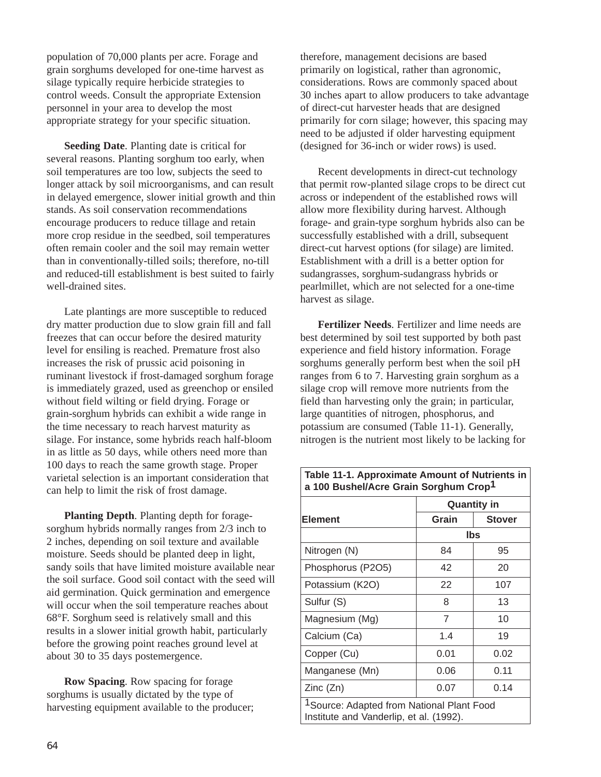population of 70,000 plants per acre. Forage and grain sorghums developed for one-time harvest as silage typically require herbicide strategies to control weeds. Consult the appropriate Extension personnel in your area to develop the most appropriate strategy for your specific situation.

**Seeding Date**. Planting date is critical for several reasons. Planting sorghum too early, when soil temperatures are too low, subjects the seed to longer attack by soil microorganisms, and can result in delayed emergence, slower initial growth and thin stands. As soil conservation recommendations encourage producers to reduce tillage and retain more crop residue in the seedbed, soil temperatures often remain cooler and the soil may remain wetter than in conventionally-tilled soils; therefore, no-till and reduced-till establishment is best suited to fairly well-drained sites.

Late plantings are more susceptible to reduced dry matter production due to slow grain fill and fall freezes that can occur before the desired maturity level for ensiling is reached. Premature frost also increases the risk of prussic acid poisoning in ruminant livestock if frost-damaged sorghum forage is immediately grazed, used as greenchop or ensiled without field wilting or field drying. Forage or grain-sorghum hybrids can exhibit a wide range in the time necessary to reach harvest maturity as silage. For instance, some hybrids reach half-bloom in as little as 50 days, while others need more than 100 days to reach the same growth stage. Proper varietal selection is an important consideration that can help to limit the risk of frost damage.

**Planting Depth**. Planting depth for foragesorghum hybrids normally ranges from 2/3 inch to 2 inches, depending on soil texture and available moisture. Seeds should be planted deep in light, sandy soils that have limited moisture available near the soil surface. Good soil contact with the seed will aid germination. Quick germination and emergence will occur when the soil temperature reaches about 68°F. Sorghum seed is relatively small and this results in a slower initial growth habit, particularly before the growing point reaches ground level at about 30 to 35 days postemergence.

**Row Spacing**. Row spacing for forage sorghums is usually dictated by the type of harvesting equipment available to the producer; therefore, management decisions are based primarily on logistical, rather than agronomic, considerations. Rows are commonly spaced about 30 inches apart to allow producers to take advantage of direct-cut harvester heads that are designed primarily for corn silage; however, this spacing may need to be adjusted if older harvesting equipment (designed for 36-inch or wider rows) is used.

Recent developments in direct-cut technology that permit row-planted silage crops to be direct cut across or independent of the established rows will allow more flexibility during harvest. Although forage- and grain-type sorghum hybrids also can be successfully established with a drill, subsequent direct-cut harvest options (for silage) are limited. Establishment with a drill is a better option for sudangrasses, sorghum-sudangrass hybrids or pearlmillet, which are not selected for a one-time harvest as silage.

**Fertilizer Needs**. Fertilizer and lime needs are best determined by soil test supported by both past experience and field history information. Forage sorghums generally perform best when the soil pH ranges from 6 to 7. Harvesting grain sorghum as a silage crop will remove more nutrients from the field than harvesting only the grain; in particular, large quantities of nitrogen, phosphorus, and potassium are consumed (Table 11-1). Generally, nitrogen is the nutrient most likely to be lacking for

| rable TI-T. Approximate Amount of Nutrients in<br>a 100 Bushel/Acre Grain Sorghum Crop <sup>1</sup> |                    |               |  |  |  |
|-----------------------------------------------------------------------------------------------------|--------------------|---------------|--|--|--|
|                                                                                                     | <b>Quantity in</b> |               |  |  |  |
| Element                                                                                             | Grain              | <b>Stover</b> |  |  |  |
|                                                                                                     | lbs                |               |  |  |  |
| Nitrogen (N)                                                                                        | 84                 | 95            |  |  |  |
| Phosphorus (P2O5)                                                                                   | 42                 | 20            |  |  |  |
| Potassium (K2O)                                                                                     | 22                 | 107           |  |  |  |
| Sulfur (S)                                                                                          | 8                  | 13            |  |  |  |
| Magnesium (Mg)                                                                                      | 7                  | 10            |  |  |  |
| Calcium (Ca)                                                                                        | 1.4                | 19            |  |  |  |
| Copper (Cu)                                                                                         | 0.01               | 0.02          |  |  |  |
| Manganese (Mn)                                                                                      | 0.06               | 0.11          |  |  |  |
| Zinc (Zn)                                                                                           | 0.07               | 0.14          |  |  |  |
| <sup>1</sup> Source: Adapted from National Plant Food<br>Institute and Vanderlip, et al. (1992).    |                    |               |  |  |  |

| Table 11-1. Approximate Amount of Nutrients in<br>a 100 Bushel/Acre Grain Sorghum Crop <sup>1</sup> |                    |               |  |  |  |
|-----------------------------------------------------------------------------------------------------|--------------------|---------------|--|--|--|
|                                                                                                     | <b>Quantity in</b> |               |  |  |  |
| Element                                                                                             | Grain              | <b>Stover</b> |  |  |  |
|                                                                                                     | lbs                |               |  |  |  |
| Nitrogen (N)                                                                                        | 84                 | 95            |  |  |  |
| Phosphorus (P2O5)                                                                                   | 42                 | 20            |  |  |  |
|                                                                                                     |                    |               |  |  |  |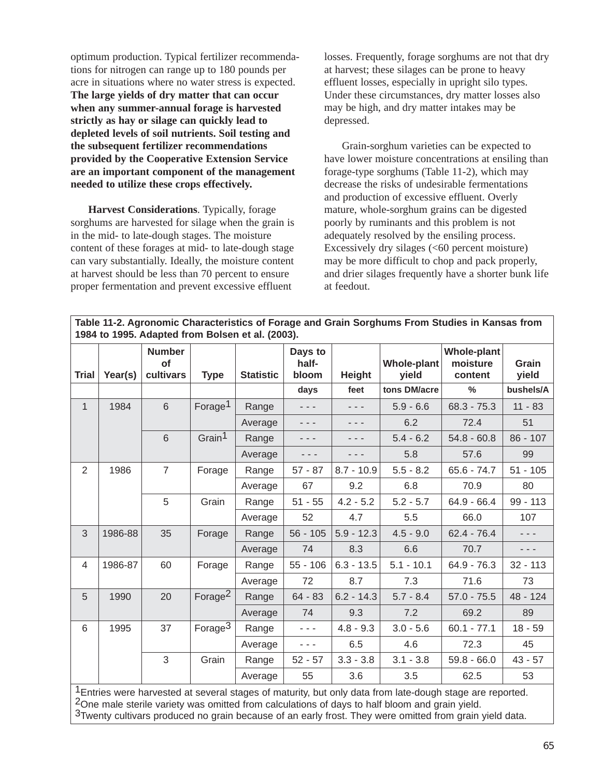optimum production. Typical fertilizer recommendations for nitrogen can range up to 180 pounds per acre in situations where no water stress is expected. **The large yields of dry matter that can occur when any summer-annual forage is harvested strictly as hay or silage can quickly lead to depleted levels of soil nutrients. Soil testing and the subsequent fertilizer recommendations provided by the Cooperative Extension Service are an important component of the management needed to utilize these crops effectively.** 

**Harvest Considerations**. Typically, forage sorghums are harvested for silage when the grain is in the mid- to late-dough stages. The moisture content of these forages at mid- to late-dough stage can vary substantially. Ideally, the moisture content at harvest should be less than 70 percent to ensure proper fermentation and prevent excessive effluent

losses. Frequently, forage sorghums are not that dry at harvest; these silages can be prone to heavy effluent losses, especially in upright silo types. Under these circumstances, dry matter losses also may be high, and dry matter intakes may be depressed.

Grain-sorghum varieties can be expected to have lower moisture concentrations at ensiling than forage-type sorghums (Table 11-2), which may decrease the risks of undesirable fermentations and production of excessive effluent. Overly mature, whole-sorghum grains can be digested poorly by ruminants and this problem is not adequately resolved by the ensiling process. Excessively dry silages (<60 percent moisture) may be more difficult to chop and pack properly, and drier silages frequently have a shorter bunk life at feedout.

|                                                  | Table 11-2. Agronomic Characteristics of Forage and Grain Sorghums From Studies in Kansas from |
|--------------------------------------------------|------------------------------------------------------------------------------------------------|
| 1984 to 1995. Adapted from Bolsen et al. (2003). |                                                                                                |

| Trial                                                                                                   | Year(s) | <b>Number</b><br>of<br>cultivars | <b>Type</b>         | <b>Statistic</b> | Days to<br>half-<br>bloom | <b>Height</b> | Whole-plant<br>yield | Whole-plant<br>moisture<br>content | Grain<br>yield |
|---------------------------------------------------------------------------------------------------------|---------|----------------------------------|---------------------|------------------|---------------------------|---------------|----------------------|------------------------------------|----------------|
|                                                                                                         |         |                                  |                     |                  | days                      | feet          | tons DM/acre         | $\frac{0}{0}$                      | bushels/A      |
| $\mathbf{1}$                                                                                            | 1984    | $6\phantom{1}$                   | Forage <sup>1</sup> | Range            | - - -                     | .             | $5.9 - 6.6$          | $68.3 - 75.3$                      | $11 - 83$      |
|                                                                                                         |         |                                  |                     | Average          | $- - -$                   |               | 6.2                  | 72.4                               | 51             |
|                                                                                                         |         | 6                                | Grain <sup>1</sup>  | Range            | - - -                     |               | $5.4 - 6.2$          | $54.8 - 60.8$                      | $86 - 107$     |
|                                                                                                         |         |                                  |                     | Average          | - - -                     |               | 5.8                  | 57.6                               | 99             |
| $\overline{2}$                                                                                          | 1986    | $\overline{7}$                   | Forage              | Range            | $57 - 87$                 | $8.7 - 10.9$  | $5.5 - 8.2$          | $65.6 - 74.7$                      | $51 - 105$     |
|                                                                                                         |         |                                  |                     | Average          | 67                        | 9.2           | 6.8                  | 70.9                               | 80             |
|                                                                                                         |         | 5                                | Grain               | Range            | $51 - 55$                 | $4.2 - 5.2$   | $5.2 - 5.7$          | $64.9 - 66.4$                      | 99 - 113       |
|                                                                                                         |         |                                  |                     | Average          | 52                        | 4.7           | 5.5                  | 66.0                               | 107            |
| 3                                                                                                       | 1986-88 | 35                               | Forage              | Range            | $56 - 105$                | $5.9 - 12.3$  | $4.5 - 9.0$          | $62.4 - 76.4$                      |                |
|                                                                                                         |         |                                  |                     | Average          | 74                        | 8.3           | 6.6                  | 70.7                               |                |
| 4                                                                                                       | 1986-87 | 60                               | Forage              | Range            | $55 - 106$                | $6.3 - 13.5$  | $5.1 - 10.1$         | $64.9 - 76.3$                      | $32 - 113$     |
|                                                                                                         |         |                                  |                     | Average          | 72                        | 8.7           | 7.3                  | 71.6                               | 73             |
| 5                                                                                                       | 1990    | 20                               | Forage <sup>2</sup> | Range            | $64 - 83$                 | $6.2 - 14.3$  | $5.7 - 8.4$          | $57.0 - 75.5$                      | 48 - 124       |
|                                                                                                         |         |                                  |                     | Average          | 74                        | 9.3           | 7.2                  | 69.2                               | 89             |
| 6                                                                                                       | 1995    | 37                               | Forage <sup>3</sup> | Range            | - - -                     | $4.8 - 9.3$   | $3.0 - 5.6$          | $60.1 - 77.1$                      | $18 - 59$      |
|                                                                                                         |         |                                  |                     | Average          | $ -$                      | 6.5           | 4.6                  | 72.3                               | 45             |
|                                                                                                         |         | 3                                | Grain               | Range            | $52 - 57$                 | $3.3 - 3.8$   | $3.1 - 3.8$          | $59.8 - 66.0$                      | $43 - 57$      |
|                                                                                                         |         |                                  |                     | Average          | 55                        | 3.6           | 3.5                  | 62.5                               | 53             |
| 1 Entries were harvested at several stages of maturity but only data from late-dough stage are reported |         |                                  |                     |                  |                           |               |                      |                                    |                |

ntries were harvested at several stages of maturity, but only data from late-dough stage are: 2One male sterile variety was omitted from calculations of days to half bloom and grain yield. 3Twenty cultivars produced no grain because of an early frost. They were omitted from grain yield data.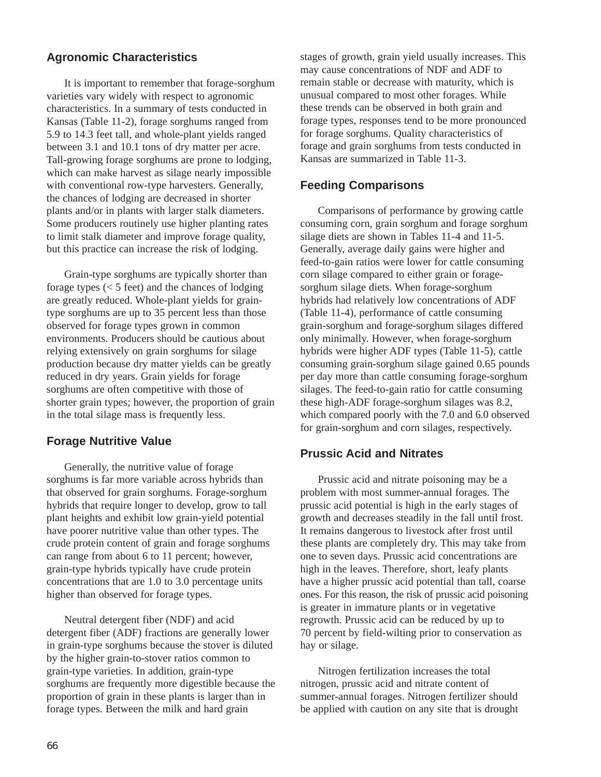# **Agronomic Characteristics**

It is important to remember that forage-sorghum varieties vary widely with respect to agronomic characteristics. In a summary of tests conducted in Kansas (Table 11-2), forage sorghums ranged from 5.9 to 14.3 feet tall, and whole-plant yields ranged between 3.1 and 10.1 tons of dry matter per acre. Tall-growing forage sorghums are prone to lodging, which can make harvest as silage nearly impossible with conventional row-type harvesters. Generally, the chances of lodging are decreased in shorter plants and/or in plants with larger stalk diameters. Some producers routinely use higher planting rates to limit stalk diameter and improve forage quality, but this practice can increase the risk of lodging.

Grain-type sorghums are typically shorter than forage types  $(< 5$  feet) and the chances of lodging are greatly reduced. Whole-plant yields for graintype sorghums are up to 35 percent less than those observed for forage types grown in common environments. Producers should be cautious about relying extensively on grain sorghums for silage production because dry matter yields can be greatly reduced in dry years. Grain yields for forage sorghums are often competitive with those of shorter grain types; however, the proportion of grain in the total silage mass is frequently less.

# **Forage Nutritive Value**

Generally, the nutritive value of forage sorghums is far more variable across hybrids than that observed for grain sorghums. Forage-sorghum hybrids that require longer to develop, grow to tall plant heights and exhibit low grain-yield potential have poorer nutritive value than other types. The crude protein content of grain and forage sorghums can range from about 6 to 11 percent; however, grain-type hybrids typically have crude protein concentrations that are 1.0 to 3.0 percentage units higher than observed for forage types.

Neutral detergent fiber (NDF) and acid detergent fiber (ADF) fractions are generally lower in grain-type sorghums because the stover is diluted by the higher grain-to-stover ratios common to grain-type varieties. In addition, grain-type sorghums are frequently more digestible because the proportion of grain in these plants is larger than in forage types. Between the milk and hard grain

stages of growth, grain yield usually increases. This may cause concentrations of NDF and ADF to remain stable or decrease with maturity, which is unusual compared to most other forages. While these trends can be observed in both grain and forage types, responses tend to be more pronounced for forage sorghums. Quality characteristics of forage and grain sorghums from tests conducted in Kansas are summarized in Table 11-3.

## **Feeding Comparisons**

Comparisons of performance by growing cattle consuming corn, grain sorghum and forage sorghum silage diets are shown in Tables 11-4 and 11-5. Generally, average daily gains were higher and feed-to-gain ratios were lower for cattle consuming corn silage compared to either grain or foragesorghum silage diets. When forage-sorghum hybrids had relatively low concentrations of ADF (Table 11-4), performance of cattle consuming grain-sorghum and forage-sorghum silages differed only minimally. However, when forage-sorghum hybrids were higher ADF types (Table 11-5), cattle consuming grain-sorghum silage gained 0.65 pounds per day more than cattle consuming forage-sorghum silages. The feed-to-gain ratio for cattle consuming these high-ADF forage-sorghum silages was 8.2, which compared poorly with the 7.0 and 6.0 observed for grain-sorghum and corn silages, respectively.

## **Prussic Acid and Nitrates**

Prussic acid and nitrate poisoning may be a problem with most summer-annual forages. The prussic acid potential is high in the early stages of growth and decreases steadily in the fall until frost. It remains dangerous to livestock after frost until these plants are completely dry. This may take from one to seven days. Prussic acid concentrations are high in the leaves. Therefore, short, leafy plants have a higher prussic acid potential than tall, coarse ones. For this reason, the risk of prussic acid poisoning is greater in immature plants or in vegetative regrowth. Prussic acid can be reduced by up to 70 percent by field-wilting prior to conservation as hay or silage.

Nitrogen fertilization increases the total nitrogen, prussic acid and nitrate content of summer-annual forages. Nitrogen fertilizer should be applied with caution on any site that is drought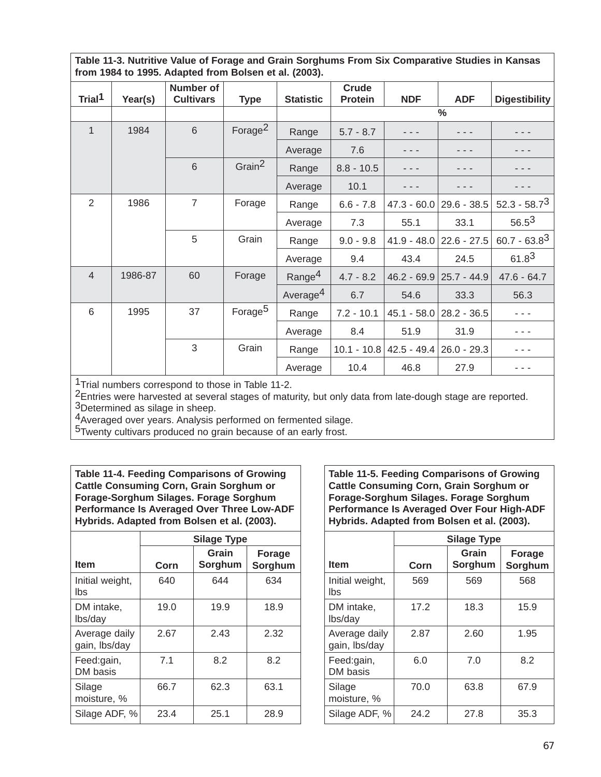**Table 11-3. Nutritive Value of Forage and Grain Sorghums From Six Comparative Studies in Kansas from 1984 to 1995. Adapted from Bolsen et al. (2003).** 

|                    |         | Number of        |                     |                      | <b>Crude</b>   |               |               |                      |
|--------------------|---------|------------------|---------------------|----------------------|----------------|---------------|---------------|----------------------|
| Trial <sup>1</sup> | Year(s) | <b>Cultivars</b> | <b>Type</b>         | <b>Statistic</b>     | <b>Protein</b> | <b>NDF</b>    | <b>ADF</b>    | <b>Digestibility</b> |
|                    |         |                  |                     |                      | $\frac{0}{0}$  |               |               |                      |
| $\mathbf{1}$       | 1984    | $6\phantom{1}$   | Forage <sup>2</sup> | Range                | $5.7 - 8.7$    |               |               |                      |
|                    |         |                  |                     | Average              | 7.6            |               |               |                      |
|                    |         | $6\phantom{1}$   | Grain <sup>2</sup>  | Range                | $8.8 - 10.5$   |               |               |                      |
|                    |         |                  |                     | Average              | 10.1           |               |               |                      |
| 2                  | 1986    | $\overline{7}$   | Forage              | Range                | $6.6 - 7.8$    | $47.3 - 60.0$ | $29.6 - 38.5$ | $52.3 - 58.7^3$      |
|                    |         |                  |                     | Average              | 7.3            | 55.1          | 33.1          | $56.5^{3}$           |
|                    |         | 5                | Grain               | Range                | $9.0 - 9.8$    | $41.9 - 48.0$ | $22.6 - 27.5$ | $60.7 - 63.8^3$      |
|                    |         |                  |                     | Average              | 9.4            | 43.4          | 24.5          | $61.8^{3}$           |
| $\overline{4}$     | 1986-87 | 60               | Forage              | Range <sup>4</sup>   | $4.7 - 8.2$    | $46.2 - 69.9$ | $25.7 - 44.9$ | $47.6 - 64.7$        |
|                    |         |                  |                     | Average <sup>4</sup> | 6.7            | 54.6          | 33.3          | 56.3                 |
| $6\phantom{1}6$    | 1995    | 37               | Forage <sup>5</sup> | Range                | $7.2 - 10.1$   | $45.1 - 58.0$ | $28.2 - 36.5$ | $  -$                |
|                    |         |                  |                     | Average              | 8.4            | 51.9          | 31.9          | - - -                |
|                    |         | 3                | Grain               | Range                | $10.1 - 10.8$  | $42.5 - 49.4$ | $26.0 - 29.3$ |                      |
|                    |         |                  |                     | Average              | 10.4           | 46.8          | 27.9          |                      |

 $1$ Trial numbers correspond to those in Table 11-2.<br><sup>2</sup>Entries were harvested at several stages of maturity, but only data from late-dough stage are reported. 3Determined as silage in sheep.

4Averaged over years. Analysis performed on fermented silage.<br>5Twenty cultivars produced no grain because of an early frost.

**Table 11-4. Feeding Comparisons of Growing Cattle Consuming Corn, Grain Sorghum or Forage-Sorghum Silages. Forage Sorghum Performance Is Averaged Over Three Low-ADF Hybrids. Adapted from Bolsen et al. (2003).** 

|                                | <b>Silage Type</b> |                  |                   |  |  |  |
|--------------------------------|--------------------|------------------|-------------------|--|--|--|
| <b>Item</b>                    | Corn               | Grain<br>Sorghum | Forage<br>Sorghum |  |  |  |
| Initial weight,<br>lbs         | 640                | 644              | 634               |  |  |  |
| DM intake,<br>lbs/day          | 19.0               | 19.9             | 18.9              |  |  |  |
| Average daily<br>gain, lbs/day | 2.67               | 2.43             | 2.32              |  |  |  |
| Feed:gain,<br>DM basis         | 7.1                | 8.2              | 8.2               |  |  |  |
| Silage<br>moisture, %          | 66.7               | 62.3             | 63.1              |  |  |  |
| Silage ADF, %                  | 23.4               | 25.1             | 28.9              |  |  |  |

**Table 11-5. Feeding Comparisons of Growing Cattle Consuming Corn, Grain Sorghum or Forage-Sorghum Silages. Forage Sorghum Performance Is Averaged Over Four High-ADF Hybrids. Adapted from Bolsen et al. (2003).** 

|                                | <b>Silage Type</b> |                  |                   |  |  |
|--------------------------------|--------------------|------------------|-------------------|--|--|
| <b>Item</b>                    | Corn               | Grain<br>Sorghum | Forage<br>Sorghum |  |  |
| Initial weight,<br>lbs         | 569                | 569              | 568               |  |  |
| DM intake,<br>lbs/day          | 17.2               | 18.3             | 15.9              |  |  |
| Average daily<br>gain, lbs/day | 2.87               | 2.60             | 1.95              |  |  |
| Feed:gain,<br>DM basis         | 6.0                | 7.0              | 8.2               |  |  |
| Silage<br>moisture, %          | 70.0               | 63.8             | 67.9              |  |  |
| Silage ADF, %                  | 24.2               | 27.8             | 35.3              |  |  |